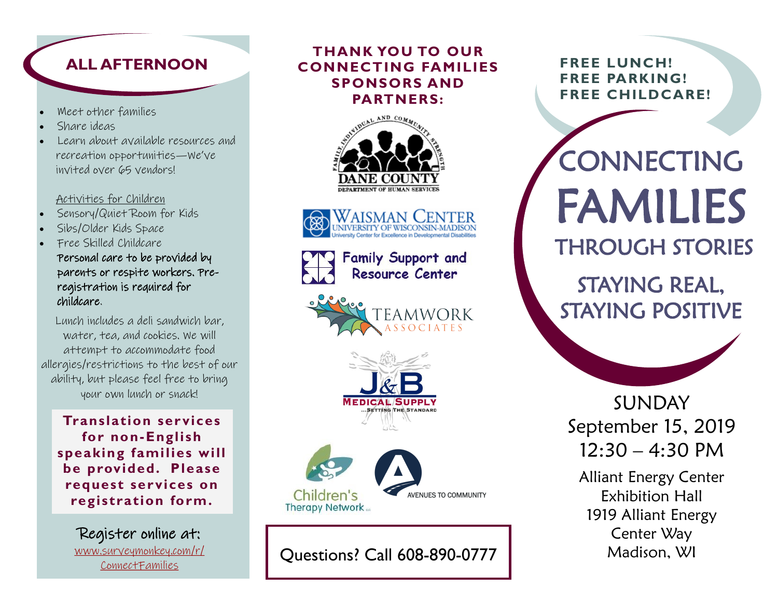## **ALL AFTERNOON**

- Meet other families
- Share ideas
- Learn about available resources and recreation opportunities—We've invited over 65 vendors!

#### Activities for Children

- Sensory/Quiet Room for Kids
- Sibs/Older Kids Space
- Free Skilled Childcare Personal care to be provided by parents or respite workers. Preregistration is required for childcare.

Lunch includes a deli sandwich bar, water, tea, and cookies. We will attempt to accommodate food allergies/restrictions to the best of our ability, but please feel free to bring your own lunch or snack!

**Translation ser vices for non-English speaking families will be provided. Please request services on registration form.**

Register online at: [www.surveymonkey.com/r/](https://www.surveymonkey.com/r/ConnectFamilies) [ConnectFamilies](https://www.surveymonkey.com/r/ConnectFamilies)

### **THANK YOU TO OUR CONNECTING FAMILIES SPONSORS AND PARTNERS:**





| <b>THE Family Support and<br/>Resource Center</b> |
|---------------------------------------------------|
|                                                   |





Questions? Call 608-890-0777

**FREE LUNCH! FREE PARKING! FREE CHILDCARE!**

CONNECTING FAMILIES THROUGH STORIES

STAYING REAL, STAYING POSITIVE

SUNDAY September 15, 2019  $12:30 - 4:30 \text{ PM}$ 

Alliant Energy Center Exhibition Hall 1919 Alliant Energy Center Way Madison, WI